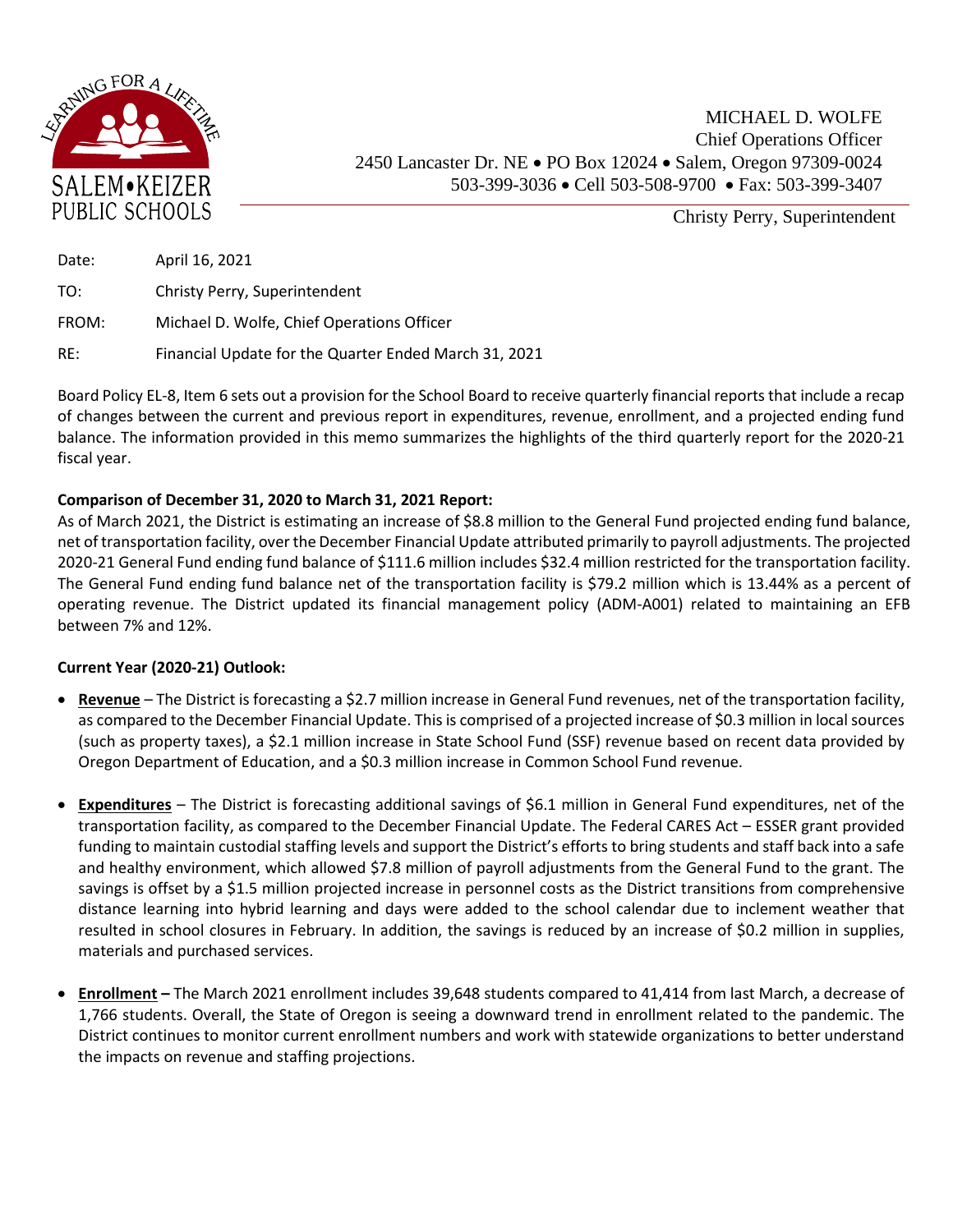

Christy Perry, Superintendent

| Date: | April 16, 2021                                        |
|-------|-------------------------------------------------------|
| TO:   | Christy Perry, Superintendent                         |
| FROM: | Michael D. Wolfe, Chief Operations Officer            |
| RE:   | Financial Update for the Quarter Ended March 31, 2021 |

Board Policy EL-8, Item 6 sets out a provision for the School Board to receive quarterly financial reports that include a recap of changes between the current and previous report in expenditures, revenue, enrollment, and a projected ending fund balance. The information provided in this memo summarizes the highlights of the third quarterly report for the 2020-21 fiscal year.

## **Comparison of December 31, 2020 to March 31, 2021 Report:**

As of March 2021, the District is estimating an increase of \$8.8 million to the General Fund projected ending fund balance, net of transportation facility, over the December Financial Update attributed primarily to payroll adjustments. The projected 2020-21 General Fund ending fund balance of \$111.6 million includes \$32.4 million restricted for the transportation facility. The General Fund ending fund balance net of the transportation facility is \$79.2 million which is 13.44% as a percent of operating revenue. The District updated its financial management policy (ADM-A001) related to maintaining an EFB between 7% and 12%.

## **Current Year (2020-21) Outlook:**

- **Revenue** The District is forecasting a \$2.7 million increase in General Fund revenues, net of the transportation facility, as compared to the December Financial Update. This is comprised of a projected increase of \$0.3 million in local sources (such as property taxes), a \$2.1 million increase in State School Fund (SSF) revenue based on recent data provided by Oregon Department of Education, and a \$0.3 million increase in Common School Fund revenue.
- **Expenditures** The District is forecasting additional savings of \$6.1 million in General Fund expenditures, net of the transportation facility, as compared to the December Financial Update. The Federal CARES Act – ESSER grant provided funding to maintain custodial staffing levels and support the District's efforts to bring students and staff back into a safe and healthy environment, which allowed \$7.8 million of payroll adjustments from the General Fund to the grant. The savings is offset by a \$1.5 million projected increase in personnel costs as the District transitions from comprehensive distance learning into hybrid learning and days were added to the school calendar due to inclement weather that resulted in school closures in February. In addition, the savings is reduced by an increase of \$0.2 million in supplies, materials and purchased services.
- **Enrollment –** The March 2021 enrollment includes 39,648 students compared to 41,414 from last March, a decrease of 1,766 students. Overall, the State of Oregon is seeing a downward trend in enrollment related to the pandemic. The District continues to monitor current enrollment numbers and work with statewide organizations to better understand the impacts on revenue and staffing projections.